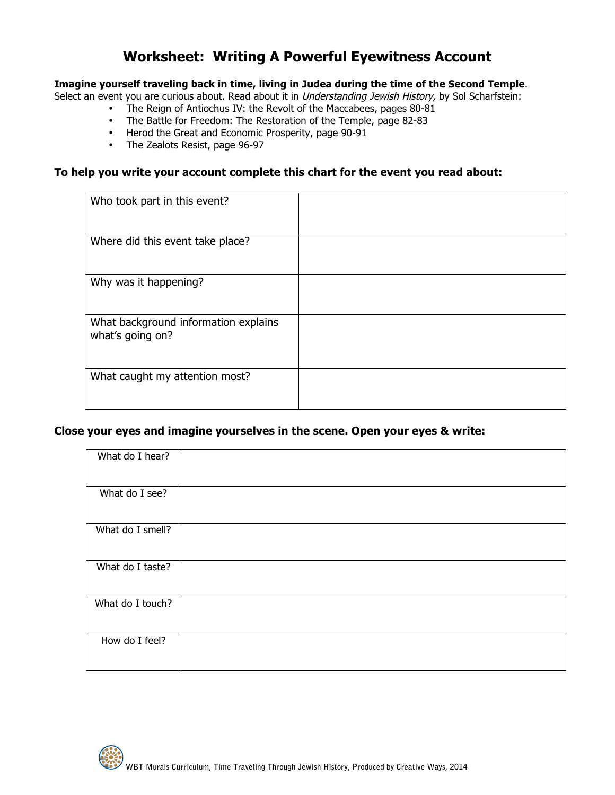# **Worksheet: Writing A Powerful Eyewitness Account**

#### **Imagine yourself traveling back in time, living in Judea during the time of the Second Temple**.

Select an event you are curious about. Read about it in *Understanding Jewish History*, by Sol Scharfstein:

- The Reign of Antiochus IV: the Revolt of the Maccabees, pages 80-81
- The Battle for Freedom: The Restoration of the Temple, page 82-83
- Herod the Great and Economic Prosperity, page 90-91
- The Zealots Resist, page 96-97

#### **To help you write your account complete this chart for the event you read about:**

| Who took part in this event?                             |  |
|----------------------------------------------------------|--|
| Where did this event take place?                         |  |
| Why was it happening?                                    |  |
| What background information explains<br>what's going on? |  |
| What caught my attention most?                           |  |

#### **Close your eyes and imagine yourselves in the scene. Open your eyes & write:**

| What do I hear?  |  |
|------------------|--|
| What do I see?   |  |
| What do I smell? |  |
| What do I taste? |  |
| What do I touch? |  |
| How do I feel?   |  |